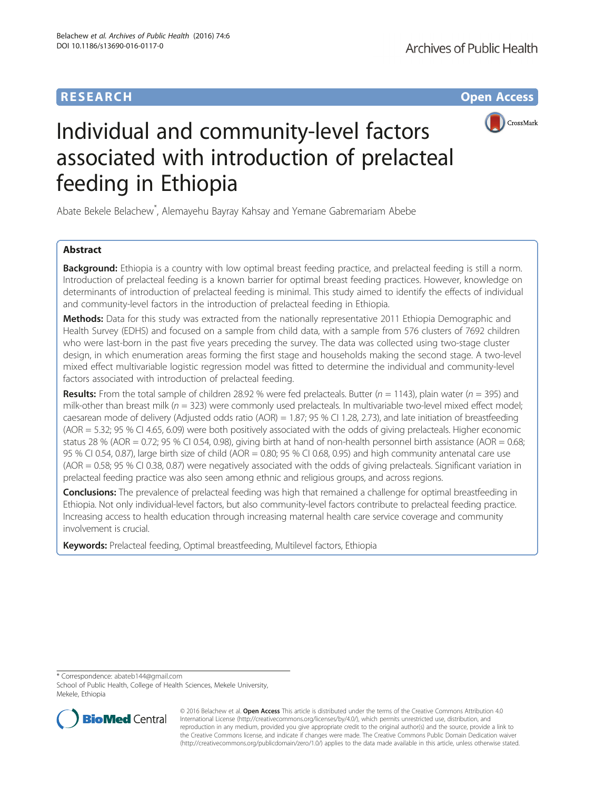## **RESEARCH CHE Open Access**



# Individual and community-level factors associated with introduction of prelacteal feeding in Ethiopia

Abate Bekele Belachew\* , Alemayehu Bayray Kahsay and Yemane Gabremariam Abebe

## Abstract

**Background:** Ethiopia is a country with low optimal breast feeding practice, and prelacteal feeding is still a norm. Introduction of prelacteal feeding is a known barrier for optimal breast feeding practices. However, knowledge on determinants of introduction of prelacteal feeding is minimal. This study aimed to identify the effects of individual and community-level factors in the introduction of prelacteal feeding in Ethiopia.

Methods: Data for this study was extracted from the nationally representative 2011 Ethiopia Demographic and Health Survey (EDHS) and focused on a sample from child data, with a sample from 576 clusters of 7692 children who were last-born in the past five years preceding the survey. The data was collected using two-stage cluster design, in which enumeration areas forming the first stage and households making the second stage. A two-level mixed effect multivariable logistic regression model was fitted to determine the individual and community-level factors associated with introduction of prelacteal feeding.

**Results:** From the total sample of children 28.92 % were fed prelacteals. Butter ( $n = 1143$ ), plain water ( $n = 395$ ) and milk-other than breast milk ( $n = 323$ ) were commonly used prelacteals. In multivariable two-level mixed effect model; caesarean mode of delivery (Adjusted odds ratio (AOR) = 1.87; 95 % CI 1.28, 2.73), and late initiation of breastfeeding (AOR = 5.32; 95 % CI 4.65, 6.09) were both positively associated with the odds of giving prelacteals. Higher economic status 28 % (AOR = 0.72; 95 % CI 0.54, 0.98), giving birth at hand of non-health personnel birth assistance (AOR = 0.68; 95 % CI 0.54, 0.87), large birth size of child (AOR = 0.80; 95 % CI 0.68, 0.95) and high community antenatal care use (AOR = 0.58; 95 % CI 0.38, 0.87) were negatively associated with the odds of giving prelacteals. Significant variation in prelacteal feeding practice was also seen among ethnic and religious groups, and across regions.

Conclusions: The prevalence of prelacteal feeding was high that remained a challenge for optimal breastfeeding in Ethiopia. Not only individual-level factors, but also community-level factors contribute to prelacteal feeding practice. Increasing access to health education through increasing maternal health care service coverage and community involvement is crucial.

Keywords: Prelacteal feeding, Optimal breastfeeding, Multilevel factors, Ethiopia

\* Correspondence: [abateb144@gmail.com](mailto:abateb144@gmail.com)

School of Public Health, College of Health Sciences, Mekele University, Mekele, Ethiopia



© 2016 Belachew et al. Open Access This article is distributed under the terms of the Creative Commons Attribution 4.0 International License [\(http://creativecommons.org/licenses/by/4.0/](http://creativecommons.org/licenses/by/4.0/)), which permits unrestricted use, distribution, and reproduction in any medium, provided you give appropriate credit to the original author(s) and the source, provide a link to the Creative Commons license, and indicate if changes were made. The Creative Commons Public Domain Dedication waiver [\(http://creativecommons.org/publicdomain/zero/1.0/](http://creativecommons.org/publicdomain/zero/1.0/)) applies to the data made available in this article, unless otherwise stated.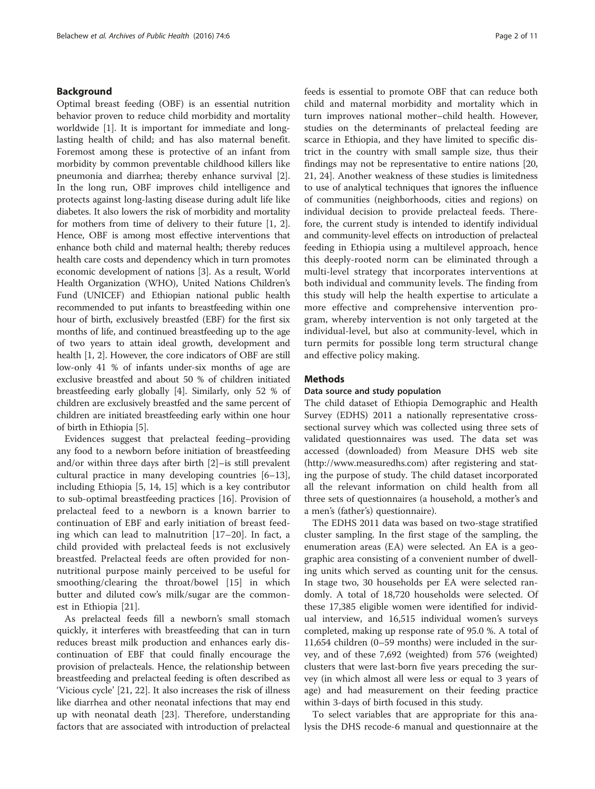## Background

Optimal breast feeding (OBF) is an essential nutrition behavior proven to reduce child morbidity and mortality worldwide [\[1](#page-9-0)]. It is important for immediate and longlasting health of child; and has also maternal benefit. Foremost among these is protective of an infant from morbidity by common preventable childhood killers like pneumonia and diarrhea; thereby enhance survival [\[2](#page-9-0)]. In the long run, OBF improves child intelligence and protects against long-lasting disease during adult life like diabetes. It also lowers the risk of morbidity and mortality for mothers from time of delivery to their future [\[1](#page-9-0), [2](#page-9-0)]. Hence, OBF is among most effective interventions that enhance both child and maternal health; thereby reduces health care costs and dependency which in turn promotes economic development of nations [\[3](#page-9-0)]. As a result, World Health Organization (WHO), United Nations Children's Fund (UNICEF) and Ethiopian national public health recommended to put infants to breastfeeding within one hour of birth, exclusively breastfed (EBF) for the first six months of life, and continued breastfeeding up to the age of two years to attain ideal growth, development and health [\[1](#page-9-0), [2](#page-9-0)]. However, the core indicators of OBF are still low-only 41 % of infants under-six months of age are exclusive breastfed and about 50 % of children initiated breastfeeding early globally [\[4](#page-9-0)]. Similarly, only 52 % of children are exclusively breastfed and the same percent of children are initiated breastfeeding early within one hour of birth in Ethiopia [[5\]](#page-9-0).

Evidences suggest that prelacteal feeding–providing any food to a newborn before initiation of breastfeeding and/or within three days after birth [[2\]](#page-9-0)–is still prevalent cultural practice in many developing countries [[6](#page-9-0)–[13](#page-9-0)], including Ethiopia [[5, 14](#page-9-0), [15\]](#page-9-0) which is a key contributor to sub-optimal breastfeeding practices [[16\]](#page-9-0). Provision of prelacteal feed to a newborn is a known barrier to continuation of EBF and early initiation of breast feeding which can lead to malnutrition [[17](#page-9-0)–[20\]](#page-9-0). In fact, a child provided with prelacteal feeds is not exclusively breastfed. Prelacteal feeds are often provided for nonnutritional purpose mainly perceived to be useful for smoothing/clearing the throat/bowel [[15\]](#page-9-0) in which butter and diluted cow's milk/sugar are the commonest in Ethiopia [[21\]](#page-9-0).

As prelacteal feeds fill a newborn's small stomach quickly, it interferes with breastfeeding that can in turn reduces breast milk production and enhances early discontinuation of EBF that could finally encourage the provision of prelacteals. Hence, the relationship between breastfeeding and prelacteal feeding is often described as 'Vicious cycle' [\[21](#page-9-0), [22\]](#page-9-0). It also increases the risk of illness like diarrhea and other neonatal infections that may end up with neonatal death [[23\]](#page-9-0). Therefore, understanding factors that are associated with introduction of prelacteal feeds is essential to promote OBF that can reduce both child and maternal morbidity and mortality which in turn improves national mother–child health. However, studies on the determinants of prelacteal feeding are scarce in Ethiopia, and they have limited to specific district in the country with small sample size, thus their findings may not be representative to entire nations [[20](#page-9-0), [21, 24\]](#page-9-0). Another weakness of these studies is limitedness to use of analytical techniques that ignores the influence of communities (neighborhoods, cities and regions) on individual decision to provide prelacteal feeds. Therefore, the current study is intended to identify individual and community-level effects on introduction of prelacteal feeding in Ethiopia using a multilevel approach, hence this deeply-rooted norm can be eliminated through a multi-level strategy that incorporates interventions at both individual and community levels. The finding from this study will help the health expertise to articulate a more effective and comprehensive intervention program, whereby intervention is not only targeted at the individual-level, but also at community-level, which in turn permits for possible long term structural change and effective policy making.

#### Methods

#### Data source and study population

The child dataset of Ethiopia Demographic and Health Survey (EDHS) 2011 a nationally representative crosssectional survey which was collected using three sets of validated questionnaires was used. The data set was accessed (downloaded) from Measure DHS web site (<http://www.measuredhs.com>) after registering and stating the purpose of study. The child dataset incorporated all the relevant information on child health from all three sets of questionnaires (a household, a mother's and a men's (father's) questionnaire).

The EDHS 2011 data was based on two-stage stratified cluster sampling. In the first stage of the sampling, the enumeration areas (EA) were selected. An EA is a geographic area consisting of a convenient number of dwelling units which served as counting unit for the census. In stage two, 30 households per EA were selected randomly. A total of 18,720 households were selected. Of these 17,385 eligible women were identified for individual interview, and 16,515 individual women's surveys completed, making up response rate of 95.0 %. A total of 11,654 children (0–59 months) were included in the survey, and of these 7,692 (weighted) from 576 (weighted) clusters that were last-born five years preceding the survey (in which almost all were less or equal to 3 years of age) and had measurement on their feeding practice within 3-days of birth focused in this study.

To select variables that are appropriate for this analysis the DHS recode-6 manual and questionnaire at the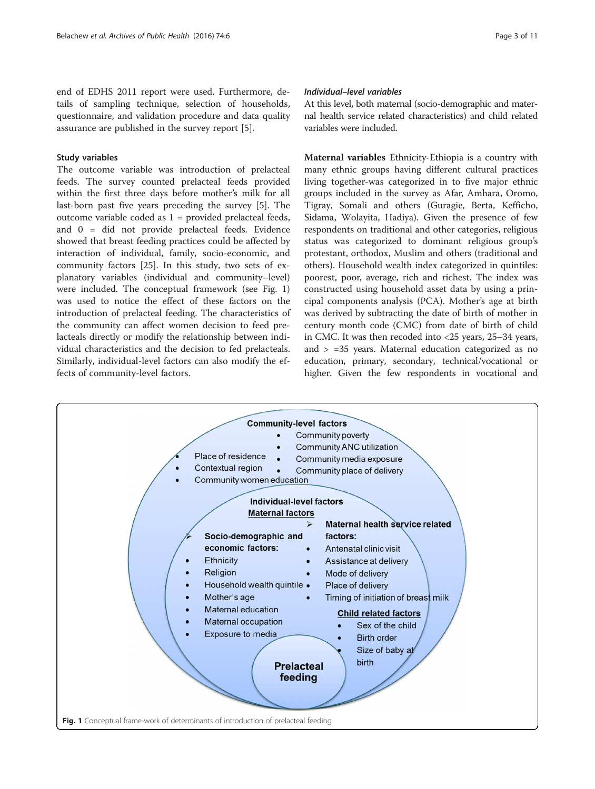end of EDHS 2011 report were used. Furthermore, details of sampling technique, selection of households, questionnaire, and validation procedure and data quality assurance are published in the survey report [[5](#page-9-0)].

## Study variables

The outcome variable was introduction of prelacteal feeds. The survey counted prelacteal feeds provided within the first three days before mother's milk for all last-born past five years preceding the survey [[5](#page-9-0)]. The outcome variable coded as 1 = provided prelacteal feeds, and 0 = did not provide prelacteal feeds. Evidence showed that breast feeding practices could be affected by interaction of individual, family, socio-economic, and community factors [\[25](#page-9-0)]. In this study, two sets of explanatory variables (individual and community–level) were included. The conceptual framework (see Fig. 1) was used to notice the effect of these factors on the introduction of prelacteal feeding. The characteristics of the community can affect women decision to feed prelacteals directly or modify the relationship between individual characteristics and the decision to fed prelacteals. Similarly, individual-level factors can also modify the effects of community-level factors.

## Individual–level variables

At this level, both maternal (socio-demographic and maternal health service related characteristics) and child related variables were included.

Maternal variables Ethnicity-Ethiopia is a country with many ethnic groups having different cultural practices living together-was categorized in to five major ethnic groups included in the survey as Afar, Amhara, Oromo, Tigray, Somali and others (Guragie, Berta, Kefficho, Sidama, Wolayita, Hadiya). Given the presence of few respondents on traditional and other categories, religious status was categorized to dominant religious group's protestant, orthodox, Muslim and others (traditional and others). Household wealth index categorized in quintiles: poorest, poor, average, rich and richest. The index was constructed using household asset data by using a principal components analysis (PCA). Mother's age at birth was derived by subtracting the date of birth of mother in century month code (CMC) from date of birth of child in CMC. It was then recoded into <25 years, 25–34 years, and > =35 years. Maternal education categorized as no education, primary, secondary, technical/vocational or higher. Given the few respondents in vocational and

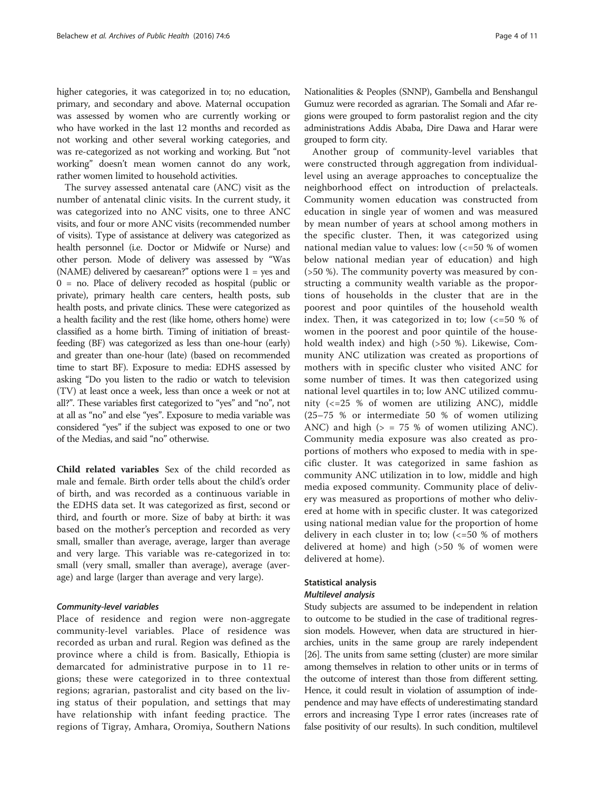higher categories, it was categorized in to; no education, primary, and secondary and above. Maternal occupation was assessed by women who are currently working or who have worked in the last 12 months and recorded as not working and other several working categories, and was re-categorized as not working and working. But "not working" doesn't mean women cannot do any work, rather women limited to household activities.

The survey assessed antenatal care (ANC) visit as the number of antenatal clinic visits. In the current study, it was categorized into no ANC visits, one to three ANC visits, and four or more ANC visits (recommended number of visits). Type of assistance at delivery was categorized as health personnel (i.e. Doctor or Midwife or Nurse) and other person. Mode of delivery was assessed by "Was (NAME) delivered by caesarean?" options were 1 = yes and 0 = no. Place of delivery recoded as hospital (public or private), primary health care centers, health posts, sub health posts, and private clinics. These were categorized as a health facility and the rest (like home, others home) were classified as a home birth. Timing of initiation of breastfeeding (BF) was categorized as less than one-hour (early) and greater than one-hour (late) (based on recommended time to start BF). Exposure to media: EDHS assessed by asking "Do you listen to the radio or watch to television (TV) at least once a week, less than once a week or not at all?". These variables first categorized to "yes" and "no", not at all as "no" and else "yes". Exposure to media variable was considered "yes" if the subject was exposed to one or two of the Medias, and said "no" otherwise.

Child related variables Sex of the child recorded as male and female. Birth order tells about the child's order of birth, and was recorded as a continuous variable in the EDHS data set. It was categorized as first, second or third, and fourth or more. Size of baby at birth: it was based on the mother's perception and recorded as very small, smaller than average, average, larger than average and very large. This variable was re-categorized in to: small (very small, smaller than average), average (average) and large (larger than average and very large).

## Community-level variables

Place of residence and region were non-aggregate community-level variables. Place of residence was recorded as urban and rural. Region was defined as the province where a child is from. Basically, Ethiopia is demarcated for administrative purpose in to 11 regions; these were categorized in to three contextual regions; agrarian, pastoralist and city based on the living status of their population, and settings that may have relationship with infant feeding practice. The regions of Tigray, Amhara, Oromiya, Southern Nations Nationalities & Peoples (SNNP), Gambella and Benshangul Gumuz were recorded as agrarian. The Somali and Afar regions were grouped to form pastoralist region and the city administrations Addis Ababa, Dire Dawa and Harar were grouped to form city.

Another group of community-level variables that were constructed through aggregation from individuallevel using an average approaches to conceptualize the neighborhood effect on introduction of prelacteals. Community women education was constructed from education in single year of women and was measured by mean number of years at school among mothers in the specific cluster. Then, it was categorized using national median value to values: low (<=50 % of women below national median year of education) and high (>50 %). The community poverty was measured by constructing a community wealth variable as the proportions of households in the cluster that are in the poorest and poor quintiles of the household wealth index. Then, it was categorized in to; low  $\left( \langle 50 \rangle \rangle \right)$  of women in the poorest and poor quintile of the household wealth index) and high (>50 %). Likewise, Community ANC utilization was created as proportions of mothers with in specific cluster who visited ANC for some number of times. It was then categorized using national level quartiles in to; low ANC utilized community (<=25 % of women are utilizing ANC), middle (25–75 % or intermediate 50 % of women utilizing ANC) and high  $(> = 75 %$  of women utilizing ANC). Community media exposure was also created as proportions of mothers who exposed to media with in specific cluster. It was categorized in same fashion as community ANC utilization in to low, middle and high media exposed community. Community place of delivery was measured as proportions of mother who delivered at home with in specific cluster. It was categorized using national median value for the proportion of home delivery in each cluster in to; low  $\ll 50$  % of mothers delivered at home) and high (>50 % of women were delivered at home).

## Statistical analysis

#### Multilevel analysis

Study subjects are assumed to be independent in relation to outcome to be studied in the case of traditional regression models. However, when data are structured in hierarchies, units in the same group are rarely independent [[26](#page-9-0)]. The units from same setting (cluster) are more similar among themselves in relation to other units or in terms of the outcome of interest than those from different setting. Hence, it could result in violation of assumption of independence and may have effects of underestimating standard errors and increasing Type I error rates (increases rate of false positivity of our results). In such condition, multilevel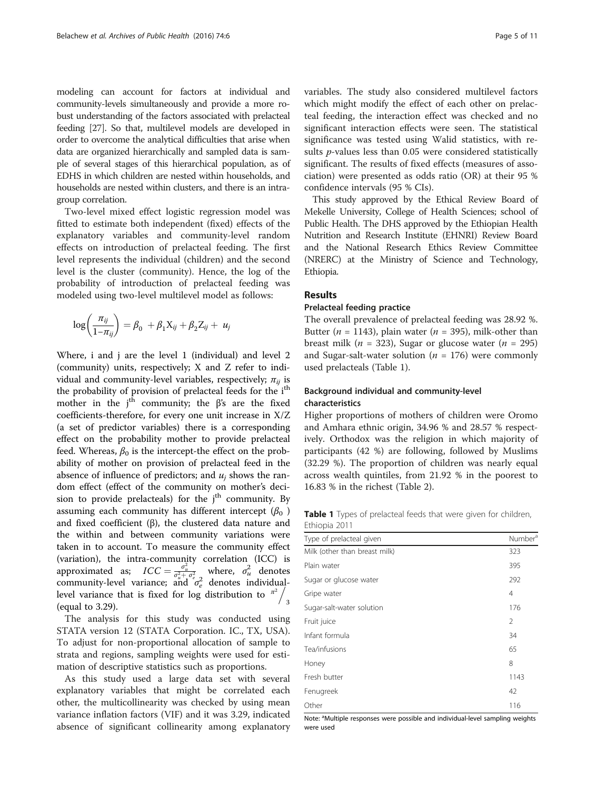modeling can account for factors at individual and community-levels simultaneously and provide a more robust understanding of the factors associated with prelacteal feeding [\[27\]](#page-9-0). So that, multilevel models are developed in order to overcome the analytical difficulties that arise when data are organized hierarchically and sampled data is sample of several stages of this hierarchical population, as of EDHS in which children are nested within households, and households are nested within clusters, and there is an intragroup correlation.

Two-level mixed effect logistic regression model was fitted to estimate both independent (fixed) effects of the explanatory variables and community-level random effects on introduction of prelacteal feeding. The first level represents the individual (children) and the second level is the cluster (community). Hence, the log of the probability of introduction of prelacteal feeding was modeled using two-level multilevel model as follows:

$$
\log\left(\frac{\pi_{ij}}{1-\pi_{ij}}\right) = \beta_0 + \beta_1 X_{ij} + \beta_2 Z_{ij} + u_j
$$

Where, i and j are the level 1 (individual) and level 2 (community) units, respectively; X and Z refer to individual and community-level variables, respectively;  $\pi_{ii}$  is the probability of provision of prelacteal feeds for the i<sup>th</sup> mother in the  $j<sup>th</sup>$  community; the  $\beta$ 's are the fixed coefficients-therefore, for every one unit increase in X/Z (a set of predictor variables) there is a corresponding effect on the probability mother to provide prelacteal feed. Whereas,  $\beta_0$  is the intercept-the effect on the probability of mother on provision of prelacteal feed in the absence of influence of predictors; and  $u_i$  shows the random effect (effect of the community on mother's decision to provide prelacteals) for the  $j<sup>th</sup>$  community. By assuming each community has different intercept  $(\beta_0)$ and fixed coefficient (β), the clustered data nature and the within and between community variations were taken in to account. To measure the community effect (variation), the intra-community correlation (ICC) is approximated as;  $ICC = \frac{\sigma_u^2}{\sigma_u^2 + \sigma_e^2}$  where,  $\sigma_u^2$  denotes community-level variance; and  $\sigma_e^2$  denotes individuallevel variance that is fixed for log distribution to  $\frac{\pi^2}{4}$  $\epsilon$  (equal to 3.29).

The analysis for this study was conducted using STATA version 12 (STATA Corporation. IC., TX, USA). To adjust for non-proportional allocation of sample to strata and regions, sampling weights were used for estimation of descriptive statistics such as proportions.

As this study used a large data set with several explanatory variables that might be correlated each other, the multicollinearity was checked by using mean variance inflation factors (VIF) and it was 3.29, indicated absence of significant collinearity among explanatory variables. The study also considered multilevel factors which might modify the effect of each other on prelacteal feeding, the interaction effect was checked and no significant interaction effects were seen. The statistical significance was tested using Walid statistics, with results *p*-values less than 0.05 were considered statistically significant. The results of fixed effects (measures of association) were presented as odds ratio (OR) at their 95 % confidence intervals (95 % CIs).

This study approved by the Ethical Review Board of Mekelle University, College of Health Sciences; school of Public Health. The DHS approved by the Ethiopian Health Nutrition and Research Institute (EHNRI) Review Board and the National Research Ethics Review Committee (NRERC) at the Ministry of Science and Technology, Ethiopia.

## Results

#### Prelacteal feeding practice

The overall prevalence of prelacteal feeding was 28.92 %. Butter ( $n = 1143$ ), plain water ( $n = 395$ ), milk-other than breast milk (*n* = 323), Sugar or glucose water (*n* = 295) and Sugar-salt-water solution ( $n = 176$ ) were commonly used prelacteals (Table 1).

## Background individual and community-level characteristics

Higher proportions of mothers of children were Oromo and Amhara ethnic origin, 34.96 % and 28.57 % respectively. Orthodox was the religion in which majority of participants (42 %) are following, followed by Muslims (32.29 %). The proportion of children was nearly equal across wealth quintiles, from 21.92 % in the poorest to 16.83 % in the richest (Table [2](#page-5-0)).

Table 1 Types of prelacteal feeds that were given for children, Ethiopia 2011

| Type of prelacteal given      | Number <sup>a</sup> |
|-------------------------------|---------------------|
| Milk (other than breast milk) | 323                 |
| Plain water                   | 395                 |
| Sugar or glucose water        | 292                 |
| Gripe water                   | $\overline{4}$      |
| Sugar-salt-water solution     | 176                 |
| Fruit juice                   | 2                   |
| Infant formula                | 34                  |
| Tea/infusions                 | 65                  |
| Honey                         | 8                   |
| Fresh butter                  | 1143                |
| Fenugreek                     | 42                  |
| Other                         | 116                 |

Note: <sup>a</sup>Multiple responses were possible and individual-level sampling weights were used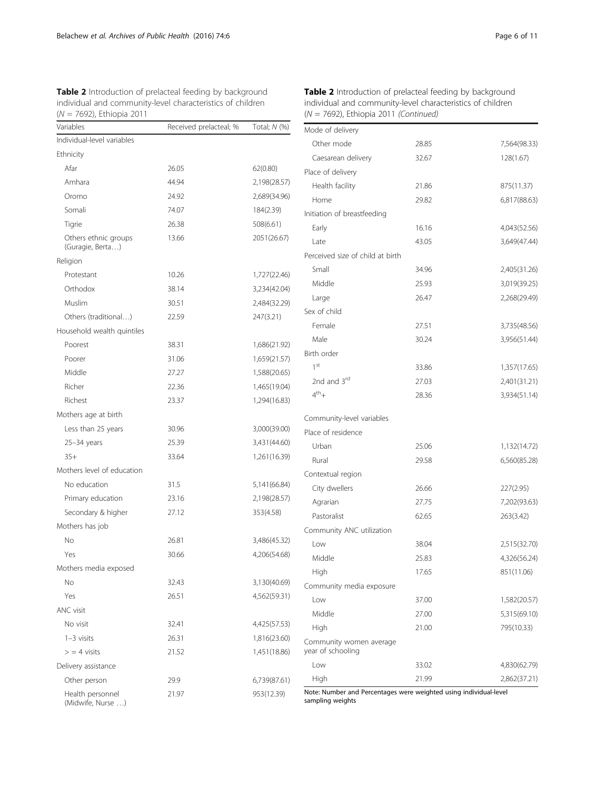<span id="page-5-0"></span>

| <b>Table 2</b> Introduction of prelacteal feeding by background |
|-----------------------------------------------------------------|
| individual and community-level characteristics of children      |
| $(N = 7692)$ , Ethiopia 2011                                    |

| Variables                                | Received prelacteal; % | Total; N (%) |
|------------------------------------------|------------------------|--------------|
| Individual-level variables               |                        |              |
| Ethnicity                                |                        |              |
| Afar                                     | 26.05                  | 62(0.80)     |
| Amhara                                   | 44.94                  | 2,198(28.57) |
| Oromo                                    | 24.92                  | 2,689(34.96) |
| Somali                                   | 74.07                  | 184(2.39)    |
| Tigrie                                   | 26.38                  | 508(6.61)    |
| Others ethnic groups<br>(Guragie, Berta) | 13.66                  | 2051(26.67)  |
| Religion                                 |                        |              |
| Protestant                               | 10.26                  | 1,727(22.46) |
| Orthodox                                 | 38.14                  | 3,234(42.04) |
| Muslim                                   | 30.51                  | 2,484(32.29) |
| Others (traditional)                     | 22.59                  | 247(3.21)    |
| Household wealth quintiles               |                        |              |
| Poorest                                  | 38.31                  | 1,686(21.92) |
| Poorer                                   | 31.06                  | 1,659(21.57) |
| Middle                                   | 27.27                  | 1,588(20.65) |
| Richer                                   | 22.36                  | 1,465(19.04) |
| Richest                                  | 23.37                  | 1,294(16.83) |
| Mothers age at birth                     |                        |              |
| Less than 25 years                       | 30.96                  | 3,000(39.00) |
| $25 - 34$ years                          | 25.39                  | 3,431(44.60) |
| $35+$                                    | 33.64                  | 1,261(16.39) |
| Mothers level of education               |                        |              |
| No education                             | 31.5                   | 5,141(66.84) |
| Primary education                        | 23.16                  | 2,198(28.57) |
| Secondary & higher                       | 27.12                  | 353(4.58)    |
| Mothers has job                          |                        |              |
| No                                       | 26.81                  | 3,486(45.32) |
| Yes                                      | 30.66                  | 4,206(54.68) |
| Mothers media exposed                    |                        |              |
| No                                       | 32.43                  | 3,130(40.69) |
| Yes                                      | 26.51                  | 4,562(59.31) |
| ANC visit                                |                        |              |
| No visit                                 | 32.41                  | 4,425(57.53) |
| $1-3$ visits                             | 26.31                  | 1,816(23.60) |
| $>$ = 4 visits                           | 21.52                  | 1,451(18.86) |
| Delivery assistance                      |                        |              |
| Other person                             | 29.9                   | 6,739(87.61) |
| Health personnel<br>(Midwife, Nurse )    | 21.97                  | 953(12.39)   |

| <b>Table 2</b> Introduction of prelacteal feeding by background |
|-----------------------------------------------------------------|
| individual and community-level characteristics of children      |
| $(N = 7692)$ , Ethiopia 2011 (Continued)                        |

| Mode of delivery                             |       |              |
|----------------------------------------------|-------|--------------|
| Other mode                                   | 28.85 | 7,564(98.33) |
| Caesarean delivery                           | 32.67 | 128(1.67)    |
| Place of delivery                            |       |              |
| Health facility                              | 21.86 | 875(11.37)   |
| Home                                         | 29.82 | 6,817(88.63) |
| Initiation of breastfeeding                  |       |              |
| Early                                        | 16.16 | 4,043(52.56) |
| Late                                         | 43.05 | 3,649(47.44) |
| Perceived size of child at birth             |       |              |
| Small                                        | 34.96 | 2,405(31.26) |
| Middle                                       | 25.93 | 3,019(39.25) |
| Large                                        | 26.47 | 2,268(29.49) |
| Sex of child                                 |       |              |
| Female                                       | 27.51 | 3,735(48.56) |
| Male                                         | 30.24 | 3,956(51.44) |
| Birth order                                  |       |              |
| 1 <sup>st</sup>                              | 33.86 | 1,357(17.65) |
| 2nd and 3rd                                  | 27.03 | 2,401(31.21) |
| $4^{\text{th}}$ +                            | 28.36 | 3,934(51.14) |
| Community-level variables                    |       |              |
| Place of residence                           |       |              |
| Urban                                        | 25.06 | 1,132(14.72) |
| Rural                                        | 29.58 | 6,560(85.28) |
| Contextual region                            |       |              |
| City dwellers                                | 26.66 | 227(2.95)    |
| Agrarian                                     | 27.75 | 7,202(93.63) |
| Pastoralist                                  | 62.65 | 263(3.42)    |
| Community ANC utilization                    |       |              |
| Low                                          | 38.04 | 2,515(32.70) |
| Middle                                       | 25.83 | 4,326(56.24) |
| High                                         | 17.65 | 851(11.06)   |
| Community media exposure                     |       |              |
| Low                                          | 37.00 | 1,582(20.57) |
| Middle                                       | 27.00 | 5,315(69.10) |
| High                                         | 21.00 | 795(10.33)   |
| Community women average<br>year of schooling |       |              |
| Low                                          | 33.02 | 4,830(62.79) |
| High                                         | 21.99 | 2,862(37.21) |

Note: Number and Percentages were weighted using individual-level sampling weights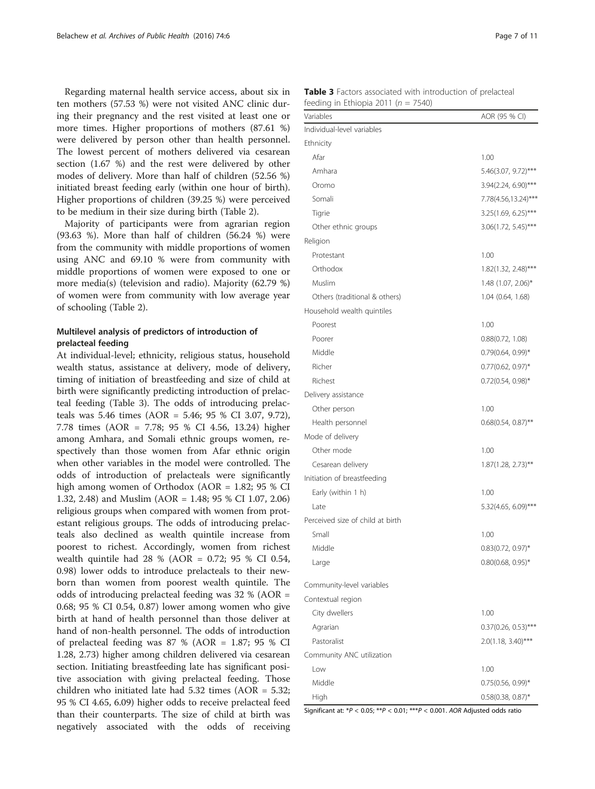<span id="page-6-0"></span>Regarding maternal health service access, about six in ten mothers (57.53 %) were not visited ANC clinic during their pregnancy and the rest visited at least one or more times. Higher proportions of mothers (87.61 %) were delivered by person other than health personnel. The lowest percent of mothers delivered via cesarean section (1.67 %) and the rest were delivered by other modes of delivery. More than half of children (52.56 %) initiated breast feeding early (within one hour of birth). Higher proportions of children (39.25 %) were perceived to be medium in their size during birth (Table [2\)](#page-5-0).

Majority of participants were from agrarian region (93.63 %). More than half of children (56.24 %) were from the community with middle proportions of women using ANC and 69.10 % were from community with middle proportions of women were exposed to one or more media(s) (television and radio). Majority (62.79 %) of women were from community with low average year of schooling (Table [2\)](#page-5-0).

## Multilevel analysis of predictors of introduction of prelacteal feeding

At individual-level; ethnicity, religious status, household wealth status, assistance at delivery, mode of delivery, timing of initiation of breastfeeding and size of child at birth were significantly predicting introduction of prelacteal feeding (Table 3). The odds of introducing prelacteals was 5.46 times (AOR = 5.46; 95 % CI 3.07, 9.72), 7.78 times (AOR = 7.78; 95 % CI 4.56, 13.24) higher among Amhara, and Somali ethnic groups women, respectively than those women from Afar ethnic origin when other variables in the model were controlled. The odds of introduction of prelacteals were significantly high among women of Orthodox (AOR = 1.82; 95 % CI 1.32, 2.48) and Muslim (AOR = 1.48; 95 % CI 1.07, 2.06) religious groups when compared with women from protestant religious groups. The odds of introducing prelacteals also declined as wealth quintile increase from poorest to richest. Accordingly, women from richest wealth quintile had 28 % (AOR = 0.72; 95 % CI 0.54, 0.98) lower odds to introduce prelacteals to their newborn than women from poorest wealth quintile. The odds of introducing prelacteal feeding was 32 % (AOR = 0.68; 95 % CI 0.54, 0.87) lower among women who give birth at hand of health personnel than those deliver at hand of non-health personnel. The odds of introduction of prelacteal feeding was  $87\%$  (AOR = 1.87; 95 % CI 1.28, 2.73) higher among children delivered via cesarean section. Initiating breastfeeding late has significant positive association with giving prelacteal feeding. Those children who initiated late had 5.32 times (AOR = 5.32; 95 % CI 4.65, 6.09) higher odds to receive prelacteal feed than their counterparts. The size of child at birth was negatively associated with the odds of receiving

| Table 3 Factors associated with introduction of prelacteal |  |
|------------------------------------------------------------|--|
| feeding in Ethiopia 2011 ( $n = 7540$ )                    |  |

| $\overline{u}$ is completed to the $\overline{u}$ |                        |
|---------------------------------------------------|------------------------|
| Variables                                         | AOR (95 % CI)          |
| Individual-level variables                        |                        |
| Ethnicity                                         |                        |
| Afar                                              | 1.00                   |
| Amhara                                            | 5.46(3.07, 9.72)***    |
| Oromo                                             | 3.94(2.24, 6.90)***    |
| Somali                                            | 7.78(4.56,13.24)***    |
| Tigrie                                            | 3.25(1.69, 6.25)***    |
| Other ethnic groups                               | 3.06(1.72, 5.45)***    |
| Religion                                          |                        |
| Protestant                                        | 1.00                   |
| Orthodox                                          | 1.82(1.32, 2.48)***    |
| Muslim                                            | 1.48 (1.07, 2.06)*     |
| Others (traditional & others)                     | 1.04 (0.64, 1.68)      |
| Household wealth quintiles                        |                        |
| Poorest                                           | 1.00                   |
| Poorer                                            | 0.88(0.72, 1.08)       |
| Middle                                            | $0.79(0.64, 0.99)^*$   |
| Richer                                            | $0.77(0.62, 0.97)^*$   |
| Richest                                           | $0.72(0.54, 0.98)$ *   |
| Delivery assistance                               |                        |
| Other person                                      | 1.00                   |
| Health personnel                                  | $0.68(0.54, 0.87)$ **  |
| Mode of delivery                                  |                        |
| Other mode                                        | 1.00                   |
| Cesarean delivery                                 | $1.87(1.28, 2.73)$ **  |
| Initiation of breastfeeding                       |                        |
| Early (within 1 h)                                | 1.00                   |
| l ate                                             | 5.32(4.65, 6.09)***    |
| Perceived size of child at birth                  |                        |
| Small                                             | 1.00                   |
| Middle                                            | $0.83(0.72, 0.97)^*$   |
| Large                                             | $0.80(0.68, 0.95)^*$   |
|                                                   |                        |
| Community-level variables                         |                        |
| Contextual region                                 |                        |
| City dwellers                                     | 1.00                   |
| Agrarian                                          | $0.37(0.26, 0.53)$ *** |
| Pastoralist                                       | $2.0(1.18, 3.40)$ ***  |
| Community ANC utilization                         |                        |
| Low                                               | 1.00                   |
| Middle                                            | $0.75(0.56, 0.99)$ *   |
| High                                              | $0.58(0.38, 0.87)^*$   |

Significant at:  $*P < 0.05$ ;  $**P < 0.01$ ;  $***P < 0.001$ . AOR Adjusted odds ratio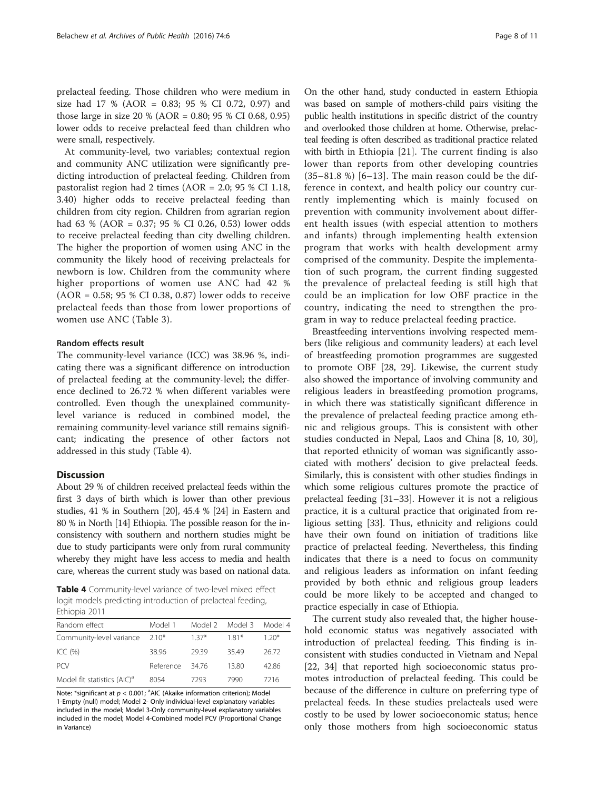prelacteal feeding. Those children who were medium in size had 17 % (AOR = 0.83; 95 % CI 0.72, 0.97) and those large in size 20 % (AOR = 0.80; 95 % CI 0.68, 0.95) lower odds to receive prelacteal feed than children who were small, respectively.

At community-level, two variables; contextual region and community ANC utilization were significantly predicting introduction of prelacteal feeding. Children from pastoralist region had 2 times (AOR = 2.0; 95 % CI 1.18, 3.40) higher odds to receive prelacteal feeding than children from city region. Children from agrarian region had 63 % (AOR = 0.37; 95 % CI 0.26, 0.53) lower odds to receive prelacteal feeding than city dwelling children. The higher the proportion of women using ANC in the community the likely hood of receiving prelacteals for newborn is low. Children from the community where higher proportions of women use ANC had 42 % (AOR = 0.58; 95 % CI 0.38, 0.87) lower odds to receive prelacteal feeds than those from lower proportions of women use ANC (Table [3\)](#page-6-0).

## Random effects result

The community-level variance (ICC) was 38.96 %, indicating there was a significant difference on introduction of prelacteal feeding at the community-level; the difference declined to 26.72 % when different variables were controlled. Even though the unexplained communitylevel variance is reduced in combined model, the remaining community-level variance still remains significant; indicating the presence of other factors not addressed in this study (Table 4).

## Discussion

About 29 % of children received prelacteal feeds within the first 3 days of birth which is lower than other previous studies, 41 % in Southern [[20](#page-9-0)], 45.4 % [\[24\]](#page-9-0) in Eastern and 80 % in North [\[14](#page-9-0)] Ethiopia. The possible reason for the inconsistency with southern and northern studies might be due to study participants were only from rural community whereby they might have less access to media and health care, whereas the current study was based on national data.

Table 4 Community-level variance of two-level mixed effect logit models predicting introduction of prelacteal feeding, Ethiopia 2011

| Random effect                           | Model 1   |         | Model 2 Model 3 Model 4 |        |
|-----------------------------------------|-----------|---------|-------------------------|--------|
| Community-level variance 2.10*          |           | $1.37*$ | $1.81*$                 | $120*$ |
| ICC $(% )$                              | 38.96     | 2939    | 3549                    | 26.72  |
| <b>PCV</b>                              | Reference | 34 76   | 13.80                   | 42.86  |
| Model fit statistics (AIC) <sup>a</sup> | 8054      | 7293    | 7990                    | 7216   |
|                                         |           |         |                         |        |

Note: \*significant at  $p < 0.001$ ; <sup>a</sup>AIC (Akaike information criterion); Model 1-Empty (null) model; Model 2- Only individual-level explanatory variables included in the model; Model 3-Only community-level explanatory variables included in the model; Model 4-Combined model PCV (Proportional Change in Variance)

On the other hand, study conducted in eastern Ethiopia was based on sample of mothers-child pairs visiting the public health institutions in specific district of the country and overlooked those children at home. Otherwise, prelacteal feeding is often described as traditional practice related with birth in Ethiopia [[21\]](#page-9-0). The current finding is also lower than reports from other developing countries  $(35-81.8 \%)$  [[6](#page-9-0)-[13](#page-9-0)]. The main reason could be the difference in context, and health policy our country currently implementing which is mainly focused on prevention with community involvement about different health issues (with especial attention to mothers and infants) through implementing health extension program that works with health development army comprised of the community. Despite the implementation of such program, the current finding suggested the prevalence of prelacteal feeding is still high that could be an implication for low OBF practice in the country, indicating the need to strengthen the program in way to reduce prelacteal feeding practice.

Breastfeeding interventions involving respected members (like religious and community leaders) at each level of breastfeeding promotion programmes are suggested to promote OBF [[28](#page-9-0), [29](#page-9-0)]. Likewise, the current study also showed the importance of involving community and religious leaders in breastfeeding promotion programs, in which there was statistically significant difference in the prevalence of prelacteal feeding practice among ethnic and religious groups. This is consistent with other studies conducted in Nepal, Laos and China [\[8, 10, 30](#page-9-0)], that reported ethnicity of woman was significantly associated with mothers' decision to give prelacteal feeds. Similarly, this is consistent with other studies findings in which some religious cultures promote the practice of prelacteal feeding [\[31](#page-9-0)–[33\]](#page-10-0). However it is not a religious practice, it is a cultural practice that originated from religious setting [\[33](#page-10-0)]. Thus, ethnicity and religions could have their own found on initiation of traditions like practice of prelacteal feeding. Nevertheless, this finding indicates that there is a need to focus on community and religious leaders as information on infant feeding provided by both ethnic and religious group leaders could be more likely to be accepted and changed to practice especially in case of Ethiopia.

The current study also revealed that, the higher household economic status was negatively associated with introduction of prelacteal feeding. This finding is inconsistent with studies conducted in Vietnam and Nepal [[22,](#page-9-0) [34\]](#page-10-0) that reported high socioeconomic status promotes introduction of prelacteal feeding. This could be because of the difference in culture on preferring type of prelacteal feeds. In these studies prelacteals used were costly to be used by lower socioeconomic status; hence only those mothers from high socioeconomic status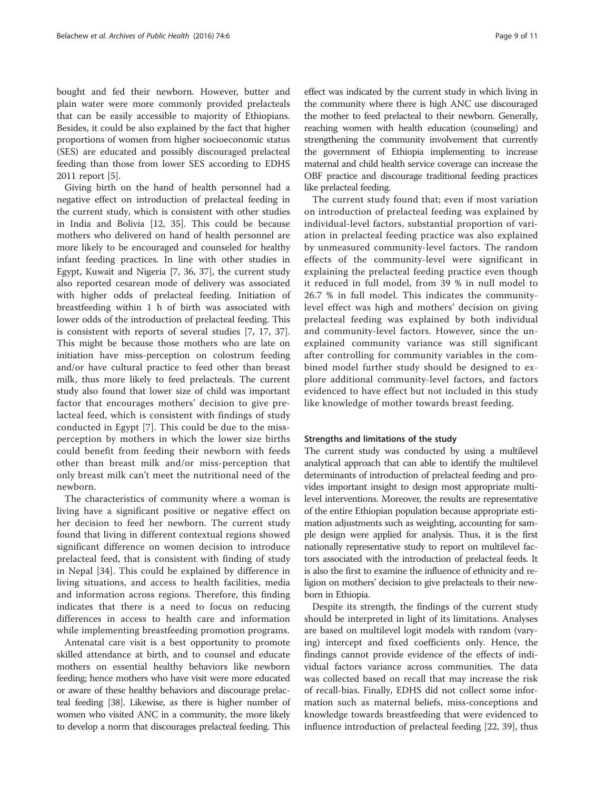bought and fed their newborn. However, butter and plain water were more commonly provided prelacteals that can be easily accessible to majority of Ethiopians. Besides, it could be also explained by the fact that higher proportions of women from higher socioeconomic status (SES) are educated and possibly discouraged prelacteal feeding than those from lower SES according to EDHS 2011 report [[5\]](#page-9-0).

Giving birth on the hand of health personnel had a negative effect on introduction of prelacteal feeding in the current study, which is consistent with other studies in India and Bolivia [[12](#page-9-0), [35\]](#page-10-0). This could be because mothers who delivered on hand of health personnel are more likely to be encouraged and counseled for healthy infant feeding practices. In line with other studies in Egypt, Kuwait and Nigeria [\[7](#page-9-0), [36, 37](#page-10-0)], the current study also reported cesarean mode of delivery was associated with higher odds of prelacteal feeding. Initiation of breastfeeding within 1 h of birth was associated with lower odds of the introduction of prelacteal feeding. This is consistent with reports of several studies [[7, 17](#page-9-0), [37](#page-10-0)]. This might be because those mothers who are late on initiation have miss-perception on colostrum feeding and/or have cultural practice to feed other than breast milk, thus more likely to feed prelacteals. The current study also found that lower size of child was important factor that encourages mothers' decision to give prelacteal feed, which is consistent with findings of study conducted in Egypt [[7\]](#page-9-0). This could be due to the missperception by mothers in which the lower size births could benefit from feeding their newborn with feeds other than breast milk and/or miss-perception that only breast milk can't meet the nutritional need of the newborn.

The characteristics of community where a woman is living have a significant positive or negative effect on her decision to feed her newborn. The current study found that living in different contextual regions showed significant difference on women decision to introduce prelacteal feed, that is consistent with finding of study in Nepal [[34\]](#page-10-0). This could be explained by difference in living situations, and access to health facilities, media and information across regions. Therefore, this finding indicates that there is a need to focus on reducing differences in access to health care and information while implementing breastfeeding promotion programs.

Antenatal care visit is a best opportunity to promote skilled attendance at birth, and to counsel and educate mothers on essential healthy behaviors like newborn feeding; hence mothers who have visit were more educated or aware of these healthy behaviors and discourage prelacteal feeding [\[38](#page-10-0)]. Likewise, as there is higher number of women who visited ANC in a community, the more likely to develop a norm that discourages prelacteal feeding. This

effect was indicated by the current study in which living in the community where there is high ANC use discouraged the mother to feed prelacteal to their newborn. Generally, reaching women with health education (counseling) and strengthening the community involvement that currently the government of Ethiopia implementing to increase maternal and child health service coverage can increase the OBF practice and discourage traditional feeding practices like prelacteal feeding.

The current study found that; even if most variation on introduction of prelacteal feeding was explained by individual-level factors, substantial proportion of variation in prelacteal feeding practice was also explained by unmeasured community-level factors. The random effects of the community-level were significant in explaining the prelacteal feeding practice even though it reduced in full model, from 39 % in null model to 26.7 % in full model. This indicates the communitylevel effect was high and mothers' decision on giving prelacteal feeding was explained by both individual and community-level factors. However, since the unexplained community variance was still significant after controlling for community variables in the combined model further study should be designed to explore additional community-level factors, and factors evidenced to have effect but not included in this study like knowledge of mother towards breast feeding.

## Strengths and limitations of the study

The current study was conducted by using a multilevel analytical approach that can able to identify the multilevel determinants of introduction of prelacteal feeding and provides important insight to design most appropriate multilevel interventions. Moreover, the results are representative of the entire Ethiopian population because appropriate estimation adjustments such as weighting, accounting for sample design were applied for analysis. Thus, it is the first nationally representative study to report on multilevel factors associated with the introduction of prelacteal feeds. It is also the first to examine the influence of ethnicity and religion on mothers' decision to give prelacteals to their newborn in Ethiopia.

Despite its strength, the findings of the current study should be interpreted in light of its limitations. Analyses are based on multilevel logit models with random (varying) intercept and fixed coefficients only. Hence, the findings cannot provide evidence of the effects of individual factors variance across communities. The data was collected based on recall that may increase the risk of recall-bias. Finally, EDHS did not collect some information such as maternal beliefs, miss-conceptions and knowledge towards breastfeeding that were evidenced to influence introduction of prelacteal feeding [[22,](#page-9-0) [39\]](#page-10-0), thus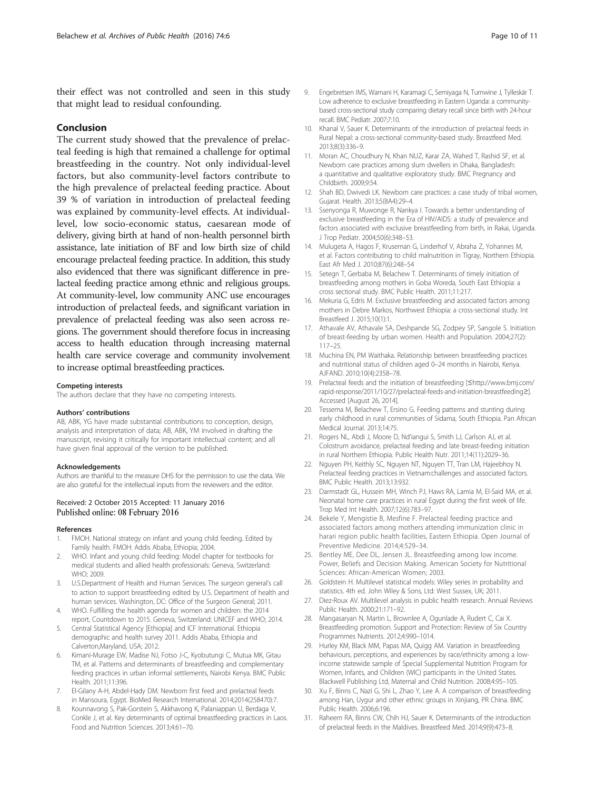<span id="page-9-0"></span>their effect was not controlled and seen in this study that might lead to residual confounding.

#### Conclusion

The current study showed that the prevalence of prelacteal feeding is high that remained a challenge for optimal breastfeeding in the country. Not only individual-level factors, but also community-level factors contribute to the high prevalence of prelacteal feeding practice. About 39 % of variation in introduction of prelacteal feeding was explained by community-level effects. At individuallevel, low socio-economic status, caesarean mode of delivery, giving birth at hand of non-health personnel birth assistance, late initiation of BF and low birth size of child encourage prelacteal feeding practice. In addition, this study also evidenced that there was significant difference in prelacteal feeding practice among ethnic and religious groups. At community-level, low community ANC use encourages introduction of prelacteal feeds, and significant variation in prevalence of prelacteal feeding was also seen across regions. The government should therefore focus in increasing access to health education through increasing maternal health care service coverage and community involvement to increase optimal breastfeeding practices.

#### Competing interests

The authors declare that they have no competing interests.

#### Authors' contributions

AB, ABK, YG have made substantial contributions to conception, design, analysis and interpretation of data; AB, ABK, YM involved in drafting the manuscript, revising it critically for important intellectual content; and all have given final approval of the version to be published.

#### Acknowledgements

Authors are thankful to the measure DHS for the permission to use the data. We are also grateful for the intellectual inputs from the reviewers and the editor.

#### Received: 2 October 2015 Accepted: 11 January 2016 Published online: 08 February 2016

#### References

- 1. FMOH. National strategy on infant and young child feeding. Edited by Family health. FMOH: Addis Ababa, Ethiopia; 2004.
- 2. WHO. Infant and young child feeding: Model chapter for textbooks for medical students and allied health professionals: Geneva, Switzerland: WHO; 2009.
- 3. U.S.Department of Health and Human Services. The surgeon general's call to action to support breastfeeding edited by U.S. Department of health and human services. Washington, DC: Office of the Surgeon General; 2011.
- 4. WHO. Fulfilling the health agenda for women and children: the 2014 report, Countdown to 2015. Geneva, Switzerland: UNICEF and WHO; 2014.
- 5. Central Statistical Agency [Ethiopia] and ICF International. Ethiopia demographic and health survey 2011. Addis Ababa, Ethiopia and Calverton,Maryland, USA; 2012.
- 6. Kimani-Murage EW, Madise NJ, Fotso J-C, Kyobutungi C, Mutua MK, Gitau TM, et al. Patterns and determinants of breastfeeding and complementary feeding practices in urban informal settlements, Nairobi Kenya. BMC Public Health. 2011;11:396.
- 7. El-Gilany A-H, Abdel-Hady DM. Newborn first feed and prelacteal feeds in Mansoura, Egypt. BioMed Research International. 2014;2014(258470):7.
- 8. Kounnavong S, Pak-Gorstein S, Akkhavong K, Palaniappan U, Berdaga V, Conkle J, et al. Key determinants of optimal breastfeeding practices in Laos. Food and Nutrition Sciences. 2013;4:61–70.
- 9. Engebretsen IMS, Wamani H, Karamagi C, Semiyaga N, Tumwine J, Tylleskär T. Low adherence to exclusive breastfeeding in Eastern Uganda: a communitybased cross-sectional study comparing dietary recall since birth with 24-hour recall. BMC Pediatr. 2007;7:10.
- 10. Khanal V, Sauer K. Determinants of the introduction of prelacteal feeds in Rural Nepal: a cross-sectional community-based study. Breastfeed Med. 2013;8(3):336–9.
- 11. Moran AC, Choudhury N, Khan NUZ, Karar ZA, Wahed T, Rashid SF, et al. Newborn care practices among slum dwellers in Dhaka, Bangladesh: a quantitative and qualitative exploratory study. BMC Pregnancy and Childbirth. 2009;9:54.
- 12. Shah BD, Dwivedi LK. Newborn care practices: a case study of tribal women, Gujarat. Health. 2013;5(8A4):29–4.
- 13. Ssenyonga R, Muwonge R, Nankya I. Towards a better understanding of exclusive breastfeeding in the Era of HIV/AIDS: a study of prevalence and factors associated with exclusive breastfeeding from birth, in Rakai, Uganda. J Trop Pediatr. 2004;50(6):348–53.
- 14. Mulugeta A, Hagos F, Kruseman G, Linderhof V, Abraha Z, Yohannes M, et al. Factors contributing to child malnutrition in Tigray, Northern Ethiopia. East Afr Med J. 2010;87(6):248–54
- 15. Setegn T, Gerbaba M, Belachew T. Determinants of timely initiation of breastfeeding among mothers in Goba Woreda, South East Ethiopia: a cross sectional study. BMC Public Health. 2011;11:217.
- 16. Mekuria G, Edris M. Exclusive breastfeeding and associated factors among mothers in Debre Markos, Northwest Ethiopia: a cross-sectional study. Int Breastfeed J. 2015;10(1):1.
- 17. Athavale AV, Athavale SA, Deshpande SG, Zodpey SP, Sangole S. Initiation of breast-feeding by urban women. Health and Population. 2004;27(2): 117–25.
- 18. Muchina EN, PM Waithaka. Relationship between breastfeeding practices and nutritional status of children aged 0–24 months in Nairobi, Kenya. AJFAND. 2010;10(4):2358–78.
- 19. Prelacteal feeds and the initiation of breastfeeding [≤[http://www.bmj.com/](http://www.bmj.com/rapid-response/2011/10/27/prelacteal-feeds-and-initiation-breastfeeding) [rapid-response/2011/10/27/prelacteal-feeds-and-initiation-breastfeeding](http://www.bmj.com/rapid-response/2011/10/27/prelacteal-feeds-and-initiation-breastfeeding)≥]. Accessed [August 26, 2014].
- 20. Tessema M, Belachew T, Ersino G. Feeding patterns and stunting during early childhood in rural communities of Sidama, South Ethiopia. Pan African Medical Journal. 2013;14:75.
- 21. Rogers NL, Abdi J, Moore D, Nd'iangui S, Smith LJ, Carlson AJ, et al. Colostrum avoidance, prelacteal feeding and late breast-feeding initiation in rural Northern Ethiopia. Public Health Nutr. 2011;14(11):2029–36.
- 22. Nguyen PH, Keithly SC, Nguyen NT, Nguyen TT, Tran LM, Hajeebhoy N. Prelacteal feeding practices in Vietnam:challenges and associated factors. BMC Public Health. 2013;13:932.
- 23. Darmstadt GL, Hussein MH, Winch PJ, Haws RA, Lamia M, El-Said MA, et al. Neonatal home care practices in rural Egypt during the first week of life. Trop Med Int Health. 2007;12(6):783–97.
- 24. Bekele Y, Mengistie B, Mesfine F. Prelacteal feeding practice and associated factors among mothers attending immunization clinic in harari region public health facilities, Eastern Ethiopia. Open Journal of Preventive Medicine. 2014;4:529–34.
- 25. Bentley ME, Dee DL, Jensen JL. Breastfeeding among low income. Power, Beliefs and Decision Making. American Society for Nutritional Sciences: African-American Women; 2003.
- 26. Goldstein H. Multilevel statistical models: Wiley series in probability and statistics. 4th ed. John Wiley & Sons, Ltd: West Sussex, UK; 2011.
- 27. Diez-Roux AV. Multilevel analysis in public health research. Annual Reviews Public Health. 2000;21:171–92.
- 28. Mangasaryan N, Martin L, Brownlee A, Ogunlade A, Rudert C, Cai X. Breastfeeding promotion. Support and Protection: Review of Six Country Programmes Nutrients. 2012;4:990–1014.
- 29. Hurley KM, Black MM, Papas MA, Quigg AM. Variation in breastfeeding behaviours, perceptions, and experiences by race/ethnicity among a lowincome statewide sample of Special Supplemental Nutrition Program for Women, Infants, and Children (WIC) participants in the United States. Blackwell Publishing Ltd, Maternal and Child Nutrition. 2008;4:95–105.
- 30. Xu F, Binns C, Nazi G, Shi L, Zhao Y, Lee A. A comparison of breastfeeding among Han, Uygur and other ethnic groups in Xinjiang, PR China. BMC Public Health. 2006;6:196.
- 31. Raheem RA, Binns CW, Chih HJ, Sauer K. Determinants of the introduction of prelacteal feeds in the Maldives. Breastfeed Med. 2014;9(9):473–8.